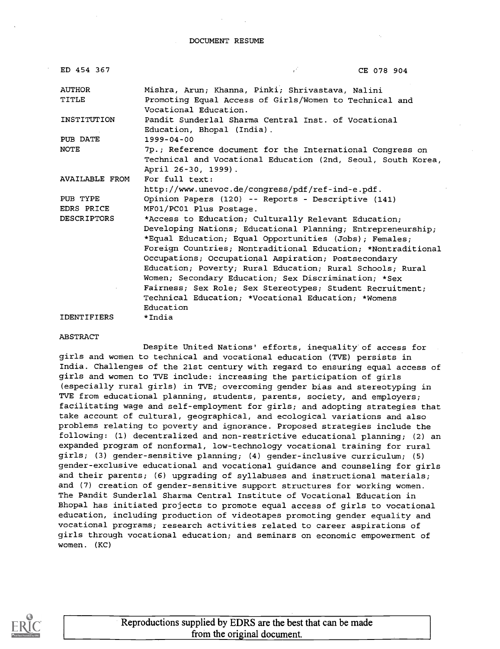DOCUMENT RESUME

| ED 454 367             | V<br>CE 078 904                                                                                                                                  |
|------------------------|--------------------------------------------------------------------------------------------------------------------------------------------------|
| <b>AUTHOR</b><br>TITLE | Mishra, Arun; Khanna, Pinki; Shrivastava, Nalini<br>Promoting Equal Access of Girls/Women to Technical and<br>Vocational Education.              |
| INSTITUTION            | Pandit Sunderlal Sharma Central Inst. of Vocational<br>Education, Bhopal (India).                                                                |
| PUB DATE               | $1999 - 04 - 00$                                                                                                                                 |
| NOTE                   | 7p.; Reference document for the International Congress on<br>Technical and Vocational Education (2nd, Seoul, South Korea,<br>April 26-30, 1999). |
| AVAILABLE FROM         | For full text:                                                                                                                                   |
|                        | http://www.unevoc.de/congress/pdf/ref-ind-e.pdf.                                                                                                 |
| PUB TYPE               | Opinion Papers (120) -- Reports - Descriptive (141)                                                                                              |
| EDRS PRICE             | MF01/PC01 Plus Postage.                                                                                                                          |
| <b>DESCRIPTORS</b>     | *Access to Education; Culturally Relevant Education;                                                                                             |
|                        | Developing Nations; Educational Planning; Entrepreneurship;                                                                                      |
|                        | *Equal Education; Equal Opportunities (Jobs); Females;                                                                                           |
|                        | Foreign Countries; Nontraditional Education; *Nontraditional                                                                                     |
|                        | Occupations; Occupational Aspiration; Postsecondary                                                                                              |
|                        | Education; Poverty; Rural Education; Rural Schools; Rural                                                                                        |
|                        | Women; Secondary Education; Sex Discrimination; *Sex                                                                                             |
|                        | Fairness; Sex Role; Sex Stereotypes; Student Recruitment;                                                                                        |
|                        | Technical Education; *Vocational Education; *Womens                                                                                              |
|                        | Education                                                                                                                                        |
| <b>IDENTIFIERS</b>     | *India                                                                                                                                           |

#### ABSTRACT

Despite United Nations' efforts, inequality of access for girls and women to technical and vocational education (TVE) persists in India. Challenges of the 21st century with regard to ensuring equal access of girls and women to TVE include: increasing the participation of girls (especially rural girls) in TVE; overcoming gender bias and stereotyping in TVE from educational planning, students, parents, society, and employers; facilitating wage and self-employment for girls; and adopting strategies that take account of cultural, geographical, and ecological variations and also problems relating to poverty and ignorance. Proposed strategies include the following: (1) decentralized and non-restrictive educational planning; (2) an expanded program of nonformal, low-technology vocational training for rural girls; (3) gender-sensitive planning; (4) gender-inclusive curriculum; (5) gender-exclusive educational and vocational guidance and counseling for girls and their parents; (6) upgrading of syllabuses and instructional materials; and (7) creation of gender-sensitive support structures for working women. The Pandit Sunderlal Sharma Central Institute of Vocational Education in Bhopal has initiated projects to promote equal access of girls to vocational education, including production of videotapes promoting gender equality and vocational programs; research activities related to career aspirations of girls through vocational education; and seminars on economic empowerment of women. (KC)



Reproductions supplied by EDRS are the best that can be made from the original document.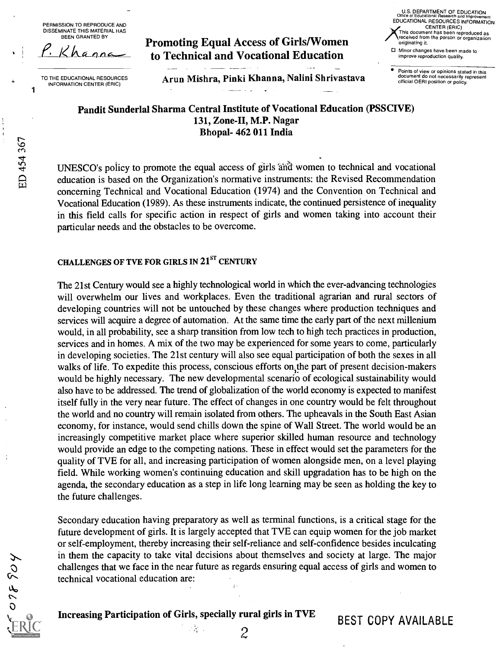PERMISSION TO REPRODUCE AND DISSEMINATE THIS MATERIAL HAS BEEN GRANTED BY



TO THE EDUCATIONAL RESOURCES INFORMATION CENTER (ERIC) 1

ED 454 367

Promoting Equal Access of Girls/Women to Technical and Vocational Education

U.S. DEPARTMENT OF EDUCATION Office of Educational Research and Improvement EDUCATIONAL RESOURCES INFORMATION CENTER (ERIC) This document has been reproduced as received from the person or organization originating it. Minor changes have been made to improve reproduction quality.

Points of view or opinions stated in this document do not necessarily represent official OERI position or policy.

Arun Mishra, Pinki Khanna, Nalini Shrivastava

Pandit Sunderlal Sharma Central Institute of Vocational Education (PSSCIVE) 131, Zone-II, M.P. Nagar Bhopal- 462 011 India

UNESCO's policy to promote the equal access of girls 'and women to technical and vocational education is based on the Organization's normative instruments: the Revised Recommendation concerning Technical and Vocational Education (1974) and the Convention on Technical and Vocational Education (1989). As these instruments indicate, the continued persistence of inequality in this field calls for specific action in respect of girls and women taking into account their particular needs and the obstacles to be overcome.

## CHALLENGES OF TVE FOR GIRLS IN 21<sup>ST</sup> CENTURY

The 21st Century would see a highly technological world in which the ever-advancing technologies will overwhelm our lives and workplaces. Even the traditional agrarian and rural sectors of developing countries will not be untouched by these changes where production techniques and services will acquire a degree of automation. At the same time the early part of the next millenium would, in all probability, see a sharp transition from low tech to high tech practices in production, services and in homes. A mix of the two may be experienced for some years to come, particularly in developing societies. The 21st century will also see equal participation of both the sexes in all walks of life. To expedite this process, conscious efforts on the part of present decision-makers would be highly necessary. The new developmental scenario of ecological sustainability would also have to be addressed. The trend of globalization of the world economy is expected to manifest itself fully in the very near future. The effect of changes in one country would be felt throughout the world and no country will remain isolated from others. The upheavals in the South East Asian economy, for instance, would send chills down the spine of Wall Street. The world would be an increasingly competitive market place where superior skilled human resource and technology would provide an edge to the competing nations. These in effect would set the parameters for the quality of TVE for all, and increasing participation of women alongside men, on a level playing field. While working women's continuing education and skill upgradation has to be high on the agenda, the secondary education as a step in life long learning may be seen as holding the key to the future challenges.

Secondary education having preparatory as well as terminal functions, is a critical stage for the future development of girls. It is largely accepted that TVE can equip women for the job market or self-employment, thereby increasing their self-reliance and self-confidence besides inculcating in them the capacity to take vital decisions about themselves and society at large. The major challenges that we face in the near future as regards ensuring equal access of girls and women to technical vocational education are:  $\hat{y}$  .

078904

Increasing Participation of Girls, specially rural girls in TVE

 $\mathcal{L}_{\mathbf{A}}^{\mathbf{A}}$  .

BEST COPY AVAILABLE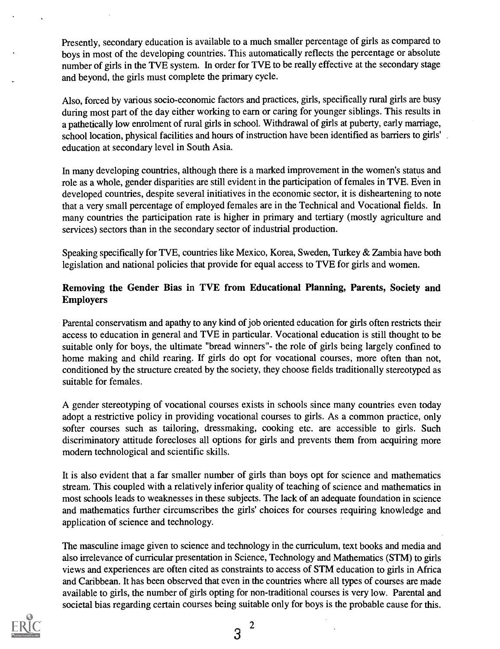Presently, secondary education is available to a much smaller percentage of girls as compared to boys in most of the developing countries. This automatically reflects the percentage or absolute number of girls in the TVE system. In order for TVE to be really effective at the secondary stage and beyond, the girls must complete the primary cycle.

Also, forced by various socio-economic factors and practices, girls, specifically rural girls are busy during most part of the day either working to earn or caring for younger siblings. This results in a pathetically low enrolment of rural girls in school. Withdrawal of girls at puberty, early marriage, school location, physical facilities and hours of instruction have been identified as barriers to girls' education at secondary level in South Asia.

In many developing countries, although there is a marked improvement in the women's status and role as a whole, gender disparities are still evident in the participation of females in TVE. Even in developed countries, despite several initiatives in the economic sector, it is disheartening to note that a very small percentage of employed females are in the Technical and Vocational fields. In many countries the participation rate is higher in primary and tertiary (mostly agriculture and services) sectors than in the secondary sector of industrial production.

Speaking specifically for TVE, countries like Mexico, Korea, Sweden, Turkey & Zambia have both legislation and national policies that provide for equal access to TVE for girls and women.

## Removing the Gender Bias in TVE from Educational Planning, Parents, Society and Employers

Parental conservatism and apathy to any kind of job oriented education for girls often restricts their access to education in general and TVE in particular. Vocational education is still thought to be suitable only for boys, the ultimate "bread winners"- the role of girls being largely confined to home making and child rearing. If girls do opt for vocational courses, more often than not, conditioned by the structure created by the society, they choose fields traditionally stereotyped as suitable for females.

A gender stereotyping of vocational courses exists in schools since many countries even today adopt a restrictive policy in providing vocational courses to girls. As a common practice, only softer courses such as tailoring, dressmaking, cooking etc. are accessible to girls. Such discriminatory attitude forecloses all options for girls and prevents them from acquiring more modern technological and scientific skills.

It is also evident that a far smaller number of girls than boys opt for science and mathematics stream. This coupled with a relatively inferior quality of teaching of science and mathematics in most schools leads to weaknesses in these subjects. The lack of an adequate foundation in science and mathematics further circumscribes the girls' choices for courses requiring knowledge and application of science and technology.

The masculine image given to science and technology in the curriculum, text books and media and also irrelevance of curricular presentation in Science, Technology and Mathematics (STM) to girls views and experiences are often cited as constraints to access of STM education to girls in Africa and Caribbean. It has been observed that even in the countries where all types of courses are made available to girls, the number of girls opting for non-traditional courses is very low. Parental and societal bias regarding certain courses being suitable only for boys is the probable cause for this.

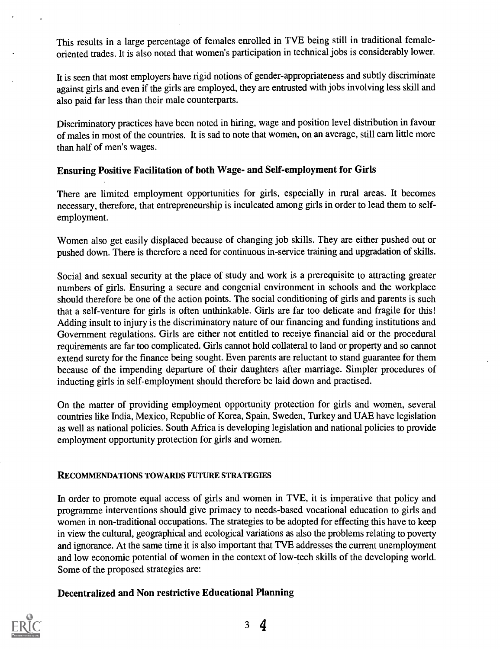This results in a large percentage of females enrolled in TVE being still in traditional femaleoriented trades. It is also noted that women's participation in technical jobs is considerably lower.

It is seen that most employers have rigid notions of gender-appropriateness and subtly discriminate against girls and even if the girls are employed, they are entrusted with jobs involving less skill and also paid far less than their male counterparts.

Discriminatory practices have been noted in hiring, wage and position level distribution in favour of males in most of the countries. It is sad to note that women, on an average, still earn little more than half of men's wages.

## Ensuring Positive Facilitation of both Wage- and Self-employment for Girls

There are limited employment opportunities for girls, especially in rural areas. It becomes necessary, therefore, that entrepreneurship is inculcated among girls in order to lead them to selfemployment.

Women also get easily displaced because of changing job skills. They are either pushed out or pushed down. There is therefore a need for continuous in-service training and upgradation of skills.

Social and sexual security at the place of study and work is a prerequisite to attracting greater numbers of girls. Ensuring a secure and congenial environment in schools and the workplace should therefore be one of the action points. The social conditioning of girls and parents is such that a self-venture for girls is often unthinkable. Girls are far too delicate and fragile for this! Adding insult to injury is the discriminatory nature of our financing and funding institutions and Government regulations. Girls are either not entitled to receiye financial aid or the procedural requirements are far too complicated. Girls cannot hold collateral to land or property and so cannot extend surety for the finance being sought. Even parents are reluctant to stand guarantee for them because of the impending departure of their daughters after marriage. Simpler procedures of inducting girls in self-employment should therefore be laid down and practised.

On the matter of providing employment opportunity protection for girls and women, several countries like India, Mexico, Republic of Korea, Spain, Sweden, Turkey and UAE have legislation as well as national policies. South Africa is developing legislation and national policies to provide employment opportunity protection for girls and women.

### RECOMMENDATIONS TOWARDS FUTURE STRATEGIES

In order to promote equal access of girls and women in TVE, it is imperative that policy and programme interventions should give primacy to needs-based vocational education to girls and women in non-traditional occupations. The strategies to be adopted for effecting this have to keep in view the cultural, geographical and ecological variations as also the problems relating to poverty and ignorance. At the same time it is also important that TVE addresses the current unemployment and low economic potential of women in the context of low-tech skills of the developing world. Some of the proposed strategies are:

### Decentralized and Non restrictive Educational Planning

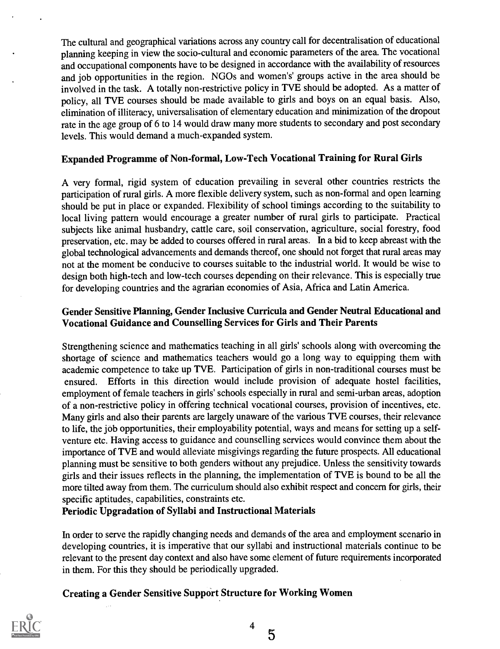The cultural and geographical variations across any country call for decentralisation of educational planning keeping in view the socio-cultural and economic parameters of the area. The vocational and occupational components have to be designed in accordance with the availability of resources and job opportunities in the region. NGOs and women's' groups active in the area should be involved in the task. A totally non-restrictive policy in TVE should be adopted. As a matter of policy, all TVE courses should be made available to girls and boys on an equal basis. Also, elimination of illiteracy, universalisation of elementary education and minimization of the dropout rate in the age group of 6 to 14 would draw many more students to secondary and post secondary levels. This would demand a much-expanded system.

### Expanded Programme of Non-formal, Low-Tech Vocational Training for Rural Girls

A very formal, rigid system of education prevailing in several other countries restricts the participation of rural girls. A more flexible delivery system, such as non-formal and open learning should be put in place or expanded. Flexibility of school timings according to the suitability to local living pattern would encourage a greater number of rural girls to participate. Practical subjects like animal husbandry, cattle care, soil conservation, agriculture, social forestry, food preservation, etc. may be added to courses offered in rural areas. In a bid to keep abreast with the global technological advancements and demands thereof, one should not forget that rural areas may not at the moment be conducive to courses suitable to the industrial world. It would be wise to design both high-tech and low-tech courses depending on their relevance. This is especially true for developing countries and the agrarian economies of Asia, Africa and Latin America.

## Gender Sensitive Planning, Gender Inclusive Curricula and Gender Neutral Educational and Vocational Guidance and Counselling Services for Girls and Their Parents

Strengthening science and mathematics teaching in all girls' schools along with overcoming the shortage of science and mathematics teachers would go a long way to equipping them with academic competence to take up TVE. Participation of girls in non-traditional courses must be ensured. Efforts in this direction would include provision of adequate hostel facilities, employment of female teachers in girls' schools especially in rural and semi-urban areas, adoption of a non-restrictive policy in offering technical vocational courses, provision of incentives, etc. Many girls and also their parents are largely unaware of the various TVE courses, their relevance to life, the job opportunities, their employability potential, ways and means for setting up a selfventure etc. Having access to guidance and counselling services would convince them about the importance of TVE and would alleviate misgivings regarding the future prospects. All educational planning must be sensitive to both genders without any prejudice. Unless the sensitivity towards girls and their issues reflects in the planning, the implementation of TVE is bound to be all the more tilted away from them. The curriculum should also exhibit respect and concern for girls, their specific aptitudes, capabilities, constraints etc.

Periodic Upgradation of Syllabi and Instructional Materials

In order to serve the rapidly changing needs and demands of the area and employment scenario in developing countries, it is imperative that our syllabi and instructional materials continue to be relevant to the present day context and also have some element of future requirements incorporated in them. For this they should be periodically upgraded.

## Creating a Gender Sensitive Support Structure for Working Women

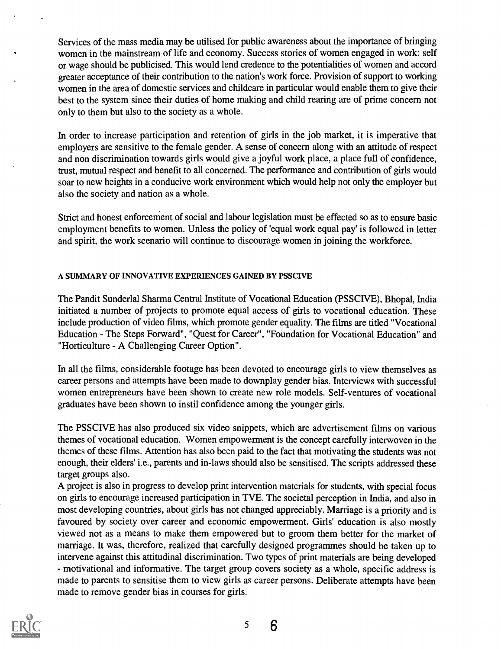Services of the mass media may be utilised for public awareness about the importance of bringing women in the mainstream of life and economy. Success stories of women engaged in work: self or wage should be publicised. This would lend credence to the potentialities of women and accord greater acceptance of their contribution to the nation's work force. Provision of support to working women in the area of domestic services and childcare in particular would enable them to give their best to the system since their duties of home making and child rearing are of prime concern not only to them but also to the society as a whole.

In order to increase participation and retention of girls in the job market, it is imperative that employers are sensitive to the female gender. A sense of concern along with an attitude of respect and non discrimination towards girls would give a joyful work place, a place full of confidence, trust, mutual respect and benefit to all concerned. The performance and contribution of girls would soar to new heights in a conducive work environment which would help not only the employer but also the society and nation as a whole.

Strict and honest enforcement of social and labour legislation must be effected so as to ensure basic employment benefits to women. Unless the policy of 'equal work equal pay' is followed in letter and spirit, the work scenario will continue to discourage women in joining the workforce.

#### A SUMMARY OF INNOVATIVE EXPERIENCES GAINED BY PSSCIVE

The Pandit Sunderlal Sharma Central Institute of Vocational Education (PSSCIVE), Bhopal, India initiated a number of projects to promote equal access of girls to vocational education. These include production of video films, which promote gender equality. The films are titled "Vocational Education - The Steps Forward", "Quest for Career", "Foundation for Vocational Education" and "Horticulture - A Challenging Career Option".

In all the films, considerable footage has been devoted to encourage girls to view themselves as career persons and attempts have been made to downplay gender bias. Interviews with successful women entrepreneurs have been shown to create new role models. Self-ventures of vocational graduates have been shown to instil confidence among the younger girls.

The PSSCIVE has also produced six video snippets, which are advertisement films on various themes of vocational education. Women empowerment is the concept carefully interwoven in the themes of these films. Attention has also been paid to the fact that motivating the students was not enough, their elders' i.e., parents and in-laws should also be sensitised. The scripts addressed these target groups also.

A project is also in progress to develop print intervention materials for students, with special focus on girls to encourage increased participation in TVE. The societal perception in India, and also in most developing countries, about girls has not changed appreciably. Marriage is a priority and is favoured by society over career and economic empowerment. Girls' education is also mostly viewed not as a means to make them empowered but to groom them better for the market of marriage. It was, therefore, realized that carefully designed programmes should be taken up to intervene against this attitudinal discrimination. Two types of print materials are being developed - motivational and informative. The target group covers society as a whole, specific address is made to parents to sensitise them to view girls as career persons. Deliberate attempts have been made to remove gender bias in courses for girls.



5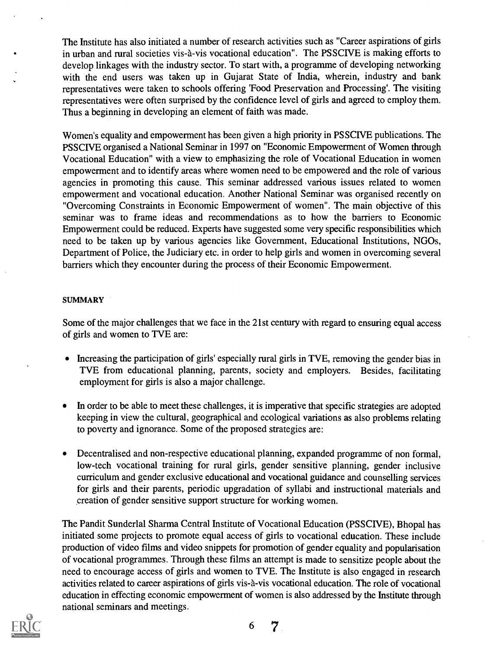The Institute has also initiated a number of research activities such as "Career aspirations of girls in urban and rural societies vis-à-vis vocational education". The PSSCIVE is making efforts to develop linkages with the industry sector. To start with, a programme of developing networking with the end users was taken up in Gujarat State of India, wherein, industry and bank representatives were taken to schools offering 'Food Preservation and Processing'. The visiting representatives were often surprised by the confidence level of girls and agreed to employ them. Thus a beginning in developing an element of faith was made.

Women's equality and empowerment has been given a high priority in PSSCIVE publications. The PSSCIVE organised a National Seminar in 1997 on "Economic Empowerment of Women through Vocational Education" with a view to emphasizing the role of Vocational Education in women empowerment and to identify areas where women need to be empowered and the role of various agencies in promoting this cause. This seminar addressed various issues related to women empowerment and vocational education. Another National Seminar was organised recently on "Overcoming Constraints in Economic Empowerment of women". The main objective of this seminar was to frame ideas and recommendations as to how the barriers to Economic Empowerment could be reduced. Experts have suggested some very specific responsibilities which need to be taken up by various agencies like Government, Educational Institutions, NGOs, Department of Police, the Judiciary etc. in order to help girls and women in overcoming several barriers which they encounter during the process of their Economic Empowerment.

#### **SUMMARY**

Some of the major challenges that we face in the 21st century with regard to ensuring equal access of girls and women to TVE are:

- Increasing the participation of girls' especially rural girls in TVE, removing the gender bias in TVE from educational planning, parents, society and employers. Besides, facilitating employment for girls is also a major challenge.
- In order to be able to meet these challenges, it is imperative that specific strategies are adopted keeping in view the cultural, geographical and ecological variations as also problems relating to poverty and ignorance. Some of the proposed strategies are:
- Decentralised and non-respective educational planning, expanded programme of non formal, low-tech vocational training for rural girls, gender sensitive planning, gender inclusive curriculum and gender exclusive educational and vocational guidance and counselling services for girls and their parents, periodic upgradation of syllabi and instructional materials and creation of gender sensitive support structure for working women.

The Pandit Sunderlal Sharma Central Institute of Vocational Education (PSSCIVE), Bhopal has initiated some projects to promote equal access of girls to vocational education. These include production of video films and video snippets for promotion of gender equality and popularisation of vocational programmes. Through these films an attempt is made to sensitize people about the need to encourage access of girls and women to TVE. The Institute is also engaged in research activities related to career aspirations of girls vis-a-vis vocational education. The role of vocational education in effecting economic empowerment of women is also addressed by the Institute through national seminars and meetings.

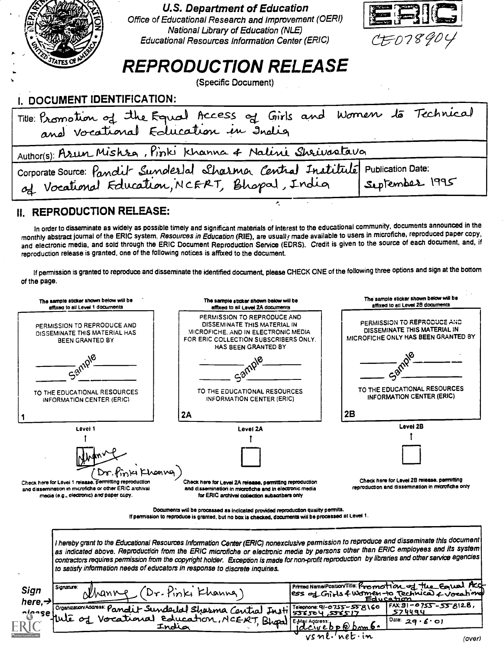

**U.S. Department of Education** 

Office of Educational Research and Improvement (OERI) National Library of Education (NLE) Educational Resources Information Center (ERIC)



## **REPRODUCTION RELEASE**

(Specific Document)

## I. DOCUMENT IDENTIFICATION:

| Title: Promotion of the Equal Access of Girls and Women to Technical                                                                        |                |
|---------------------------------------------------------------------------------------------------------------------------------------------|----------------|
| Author(s): Asun Mishsa, Pinki Khanna & Nalini Shrivastava                                                                                   |                |
| Corporate Source: Pandit Sunderlal Sharma Central Instituté Publication Date:<br>of Vocational Education, NCERT, Bhopal, India Suptember 19 | September 1995 |
|                                                                                                                                             |                |

## **II. REPRODUCTION RELEASE:**

In order to disseminate as widely as possible timely and significant materials of interest to the educational community, documents announced in the monthly abstract journal of the ERIC system, Resources in Education (RIE), are usually made available to users in microfiche, reproduced paper copy, and electronic media, and sold through the ERIC Document Reproduction Service (EDRS). Credit is given to the source of each document, and, if reproduction release is granted, one of the following notices is affixed to the document.

If permission is granted to reproduce and disseminate the identified document, please CHECK ONE of the following three options and sign at the bottom of the page.